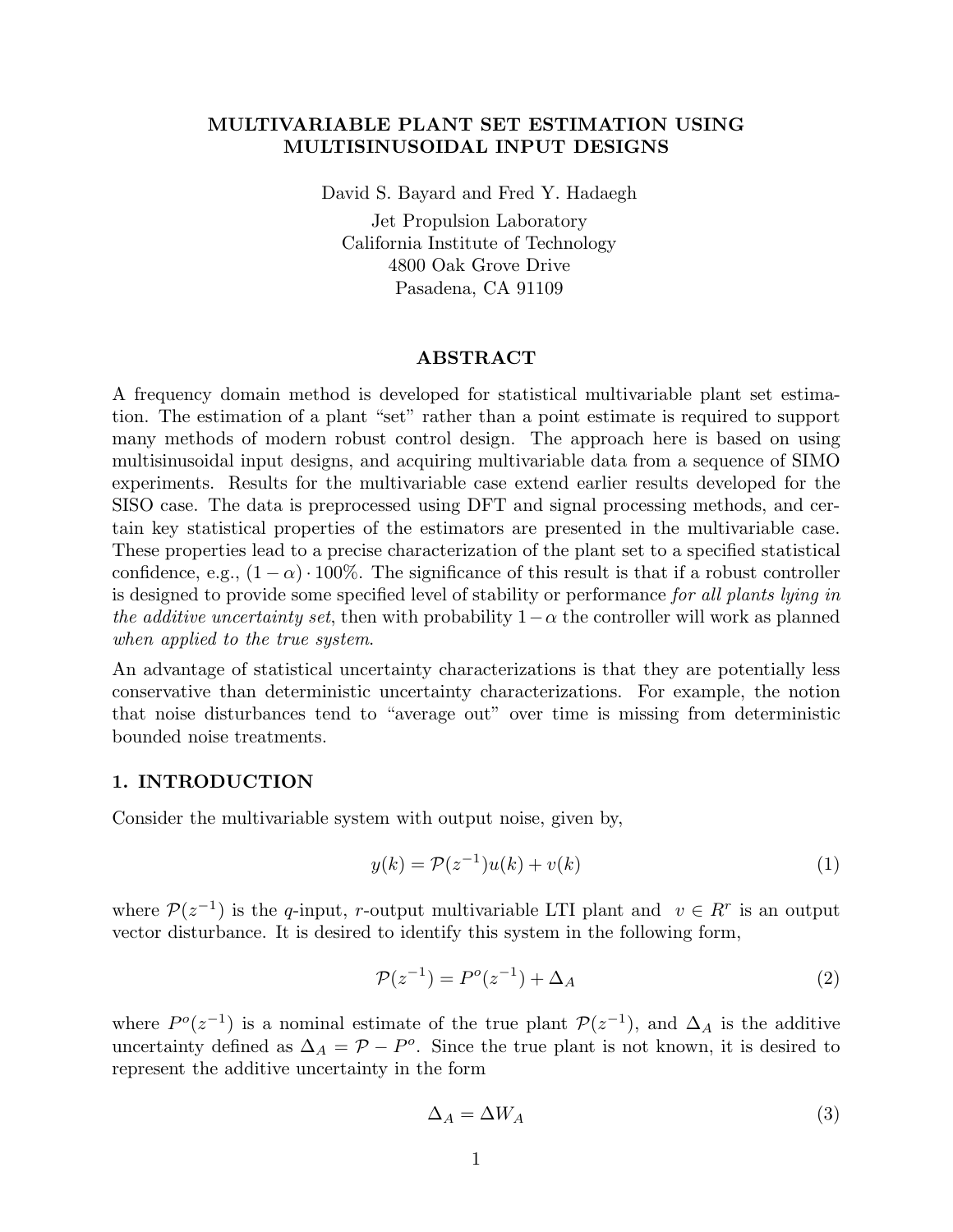# **MULTIVARIABLE PLANT SET ESTIMATION USING MULTISINUSOIDAL INPUT DESIGNS**

David S. Bayard and Fred Y. Hadaegh

Jet Propulsion Laboratory California Institute of Technology 4800 Oak Grove Drive Pasadena, CA 91109

# **ABSTRACT**

A frequency domain method is developed for statistical multivariable plant set estimation. The estimation of a plant "set" rather than a point estimate is required to support many methods of modern robust control design. The approach here is based on using multisinusoidal input designs, and acquiring multivariable data from a sequence of SIMO experiments. Results for the multivariable case extend earlier results developed for the SISO case. The data is preprocessed using DFT and signal processing methods, and certain key statistical properties of the estimators are presented in the multivariable case. These properties lead to a precise characterization of the plant set to a specified statistical confidence, e.g.,  $(1 - \alpha) \cdot 100\%$ . The significance of this result is that if a robust controller is designed to provide some specified level of stability or performance *for all plants lying in the additive uncertainty set*, then with probability  $1-\alpha$  the controller will work as planned *when applied to the true system*.

An advantage of statistical uncertainty characterizations is that they are potentially less conservative than deterministic uncertainty characterizations. For example, the notion that noise disturbances tend to "average out" over time is missing from deterministic bounded noise treatments.

# **1. INTRODUCTION**

Consider the multivariable system with output noise, given by,

$$
y(k) = \mathcal{P}(z^{-1})u(k) + v(k)
$$
\n<sup>(1)</sup>

where  $\mathcal{P}(z^{-1})$  is the q-input, r-output multivariable LTI plant and  $v \in \mathbb{R}^r$  is an output vector disturbance. It is desired to identify this system in the following form,

$$
\mathcal{P}(z^{-1}) = P^o(z^{-1}) + \Delta_A \tag{2}
$$

where  $P^{\circ}(z^{-1})$  is a nominal estimate of the true plant  $\mathcal{P}(z^{-1})$ , and  $\Delta_A$  is the additive uncertainty defined as  $\Delta_A = \mathcal{P} - P^o$ . Since the true plant is not known, it is desired to represent the additive uncertainty in the form

$$
\Delta_A = \Delta W_A \tag{3}
$$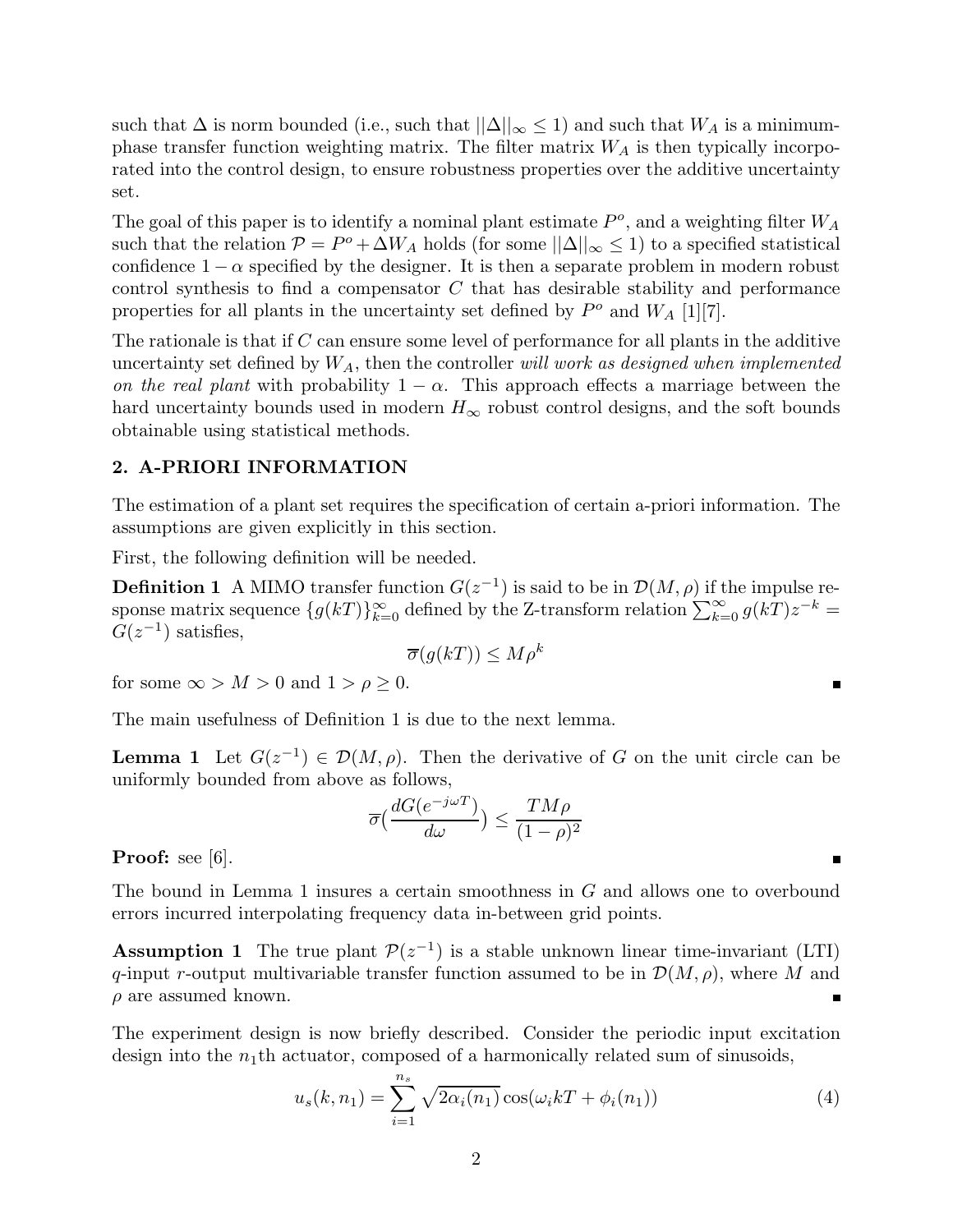such that  $\Delta$  is norm bounded (i.e., such that  $||\Delta||_{\infty} \leq 1$ ) and such that  $W_A$  is a minimumphase transfer function weighting matrix. The filter matrix  $W_A$  is then typically incorporated into the control design, to ensure robustness properties over the additive uncertainty set.

The goal of this paper is to identify a nominal plant estimate  $P<sup>o</sup>$ , and a weighting filter  $W_A$ such that the relation  $P = P^o + \Delta W_A$  holds (for some  $||\Delta||_{\infty} \le 1$ ) to a specified statistical confidence  $1 - \alpha$  specified by the designer. It is then a separate problem in modern robust control synthesis to find a compensator C that has desirable stability and performance properties for all plants in the uncertainty set defined by  $P^o$  and  $W_A$  [1][7].

The rationale is that if  $C$  can ensure some level of performance for all plants in the additive uncertainty set defined by <sup>W</sup>A, then the controller *will work as designed when implemented on the real plant* with probability  $1 - \alpha$ . This approach effects a marriage between the hard uncertainty bounds used in modern  $H_{\infty}$  robust control designs, and the soft bounds obtainable using statistical methods.

#### **2. A-PRIORI INFORMATION**

The estimation of a plant set requires the specification of certain a-priori information. The assumptions are given explicitly in this section.

First, the following definition will be needed.

**Definition 1** A MIMO transfer function  $G(z^{-1})$  is said to be in  $\mathcal{D}(M, \rho)$  if the impulse response matrix sequence  $\{g(k) \}_{k=0}^{\infty}$  defined by the Z-transform relation  $\sum_{k=0}^{\infty} g(k) z^{-k} = C(z^{-1})$  satisfies  $G(z^{-1})$  satisfies,

$$
\overline{\sigma}(g(kT)) \le M\rho^k
$$

for some  $\infty > M > 0$  and  $1 > \rho \geq 0$ .

The main usefulness of Definition 1 is due to the next lemma.

**Lemma 1** Let  $G(z^{-1}) \in \mathcal{D}(M, \rho)$ . Then the derivative of G on the unit circle can be uniformly bounded from above as follows,

$$
\overline{\sigma}\left(\frac{dG(e^{-j\omega T})}{d\omega}\right) \le \frac{TM\rho}{(1-\rho)^2}
$$

**Proof:** see [6].

The bound in Lemma 1 insures a certain smoothness in G and allows one to overbound errors incurred interpolating frequency data in-between grid points.

**Assumption 1** The true plant  $\mathcal{P}(z^{-1})$  is a stable unknown linear time-invariant (LTI) q-input r-output multivariable transfer function assumed to be in  $\mathcal{D}(M, \rho)$ , where M and  $\rho$  are assumed known.

The experiment design is now briefly described. Consider the periodic input excitation design into the  $n_1$ <sup>th</sup> actuator, composed of a harmonically related sum of sinusoids,

$$
u_s(k, n_1) = \sum_{i=1}^{n_s} \sqrt{2\alpha_i(n_1)} \cos(\omega_i kT + \phi_i(n_1))
$$
\n(4)

 $\blacksquare$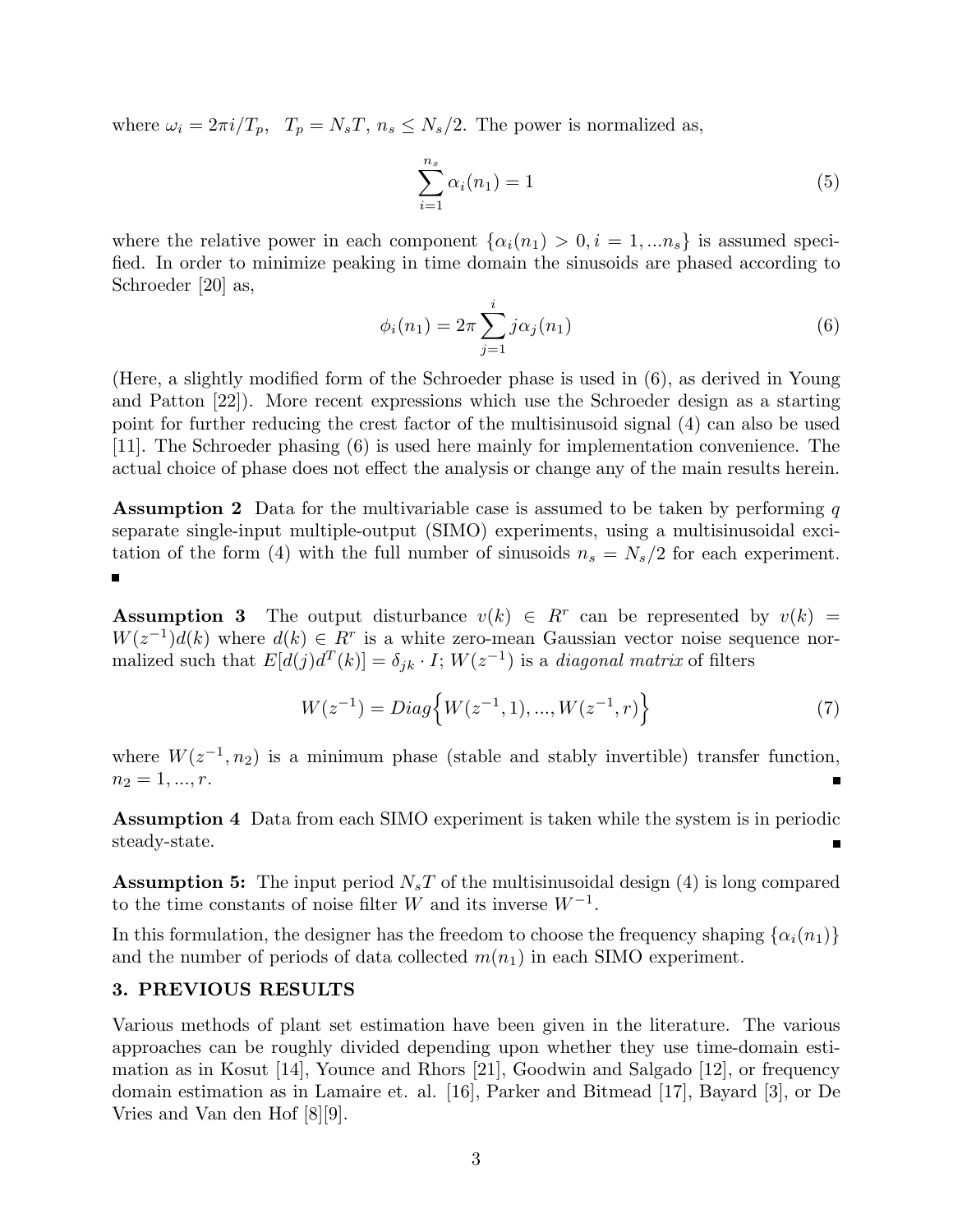where  $\omega_i = 2\pi i/T_p$ ,  $T_p = N_sT$ ,  $n_s \le N_s/2$ . The power is normalized as,

$$
\sum_{i=1}^{n_s} \alpha_i(n_1) = 1
$$
 (5)

where the relative power in each component  $\{\alpha_i(n_1) > 0, i = 1, ..., n_s\}$  is assumed specified. In order to minimize peaking in time domain the sinusoids are phased according to Schroeder [20] as,

$$
\phi_i(n_1) = 2\pi \sum_{j=1}^i j\alpha_j(n_1)
$$
\n(6)

(Here, a slightly modified form of the Schroeder phase is used in (6), as derived in Young and Patton [22]). More recent expressions which use the Schroeder design as a starting point for further reducing the crest factor of the multisinusoid signal (4) can also be used [11]. The Schroeder phasing (6) is used here mainly for implementation convenience. The actual choice of phase does not effect the analysis or change any of the main results herein.

**Assumption 2** Data for the multivariable case is assumed to be taken by performing q separate single-input multiple-output (SIMO) experiments, using a multisinusoidal excitation of the form (4) with the full number of sinusoids  $n_s = N_s/2$  for each experiment.

**Assumption 3** The output disturbance  $v(k) \in R^r$  can be represented by  $v(k)$  =  $W(z^{-1})d(k)$  where  $d(k) \in \mathbb{R}^r$  is a white zero-mean Gaussian vector noise sequence normalized such that  $E[d(j)d^{T}(k)] = \delta_{jk} \cdot I$ ;  $W(z^{-1})$  is a *diagonal matrix* of filters

$$
W(z^{-1}) = Diag\left\{W(z^{-1}, 1), ..., W(z^{-1}, r)\right\}
$$
 (7)

where  $W(z^{-1}, n_2)$  is a minimum phase (stable and stably invertible) transfer function,  $n_2 = 1, ..., r$ .

**Assumption 4** Data from each SIMO experiment is taken while the system is in periodic steady-state.

**Assumption 5:** The input period  $N_sT$  of the multisinusoidal design (4) is long compared to the time constants of noise filter W and its inverse  $W^{-1}$ .

In this formulation, the designer has the freedom to choose the frequency shaping  $\{\alpha_i(n_1)\}\$ and the number of periods of data collected  $m(n_1)$  in each SIMO experiment.

### **3. PREVIOUS RESULTS**

Various methods of plant set estimation have been given in the literature. The various approaches can be roughly divided depending upon whether they use time-domain estimation as in Kosut [14], Younce and Rhors [21], Goodwin and Salgado [12], or frequency domain estimation as in Lamaire et. al. [16], Parker and Bitmead [17], Bayard [3], or De Vries and Van den Hof [8][9].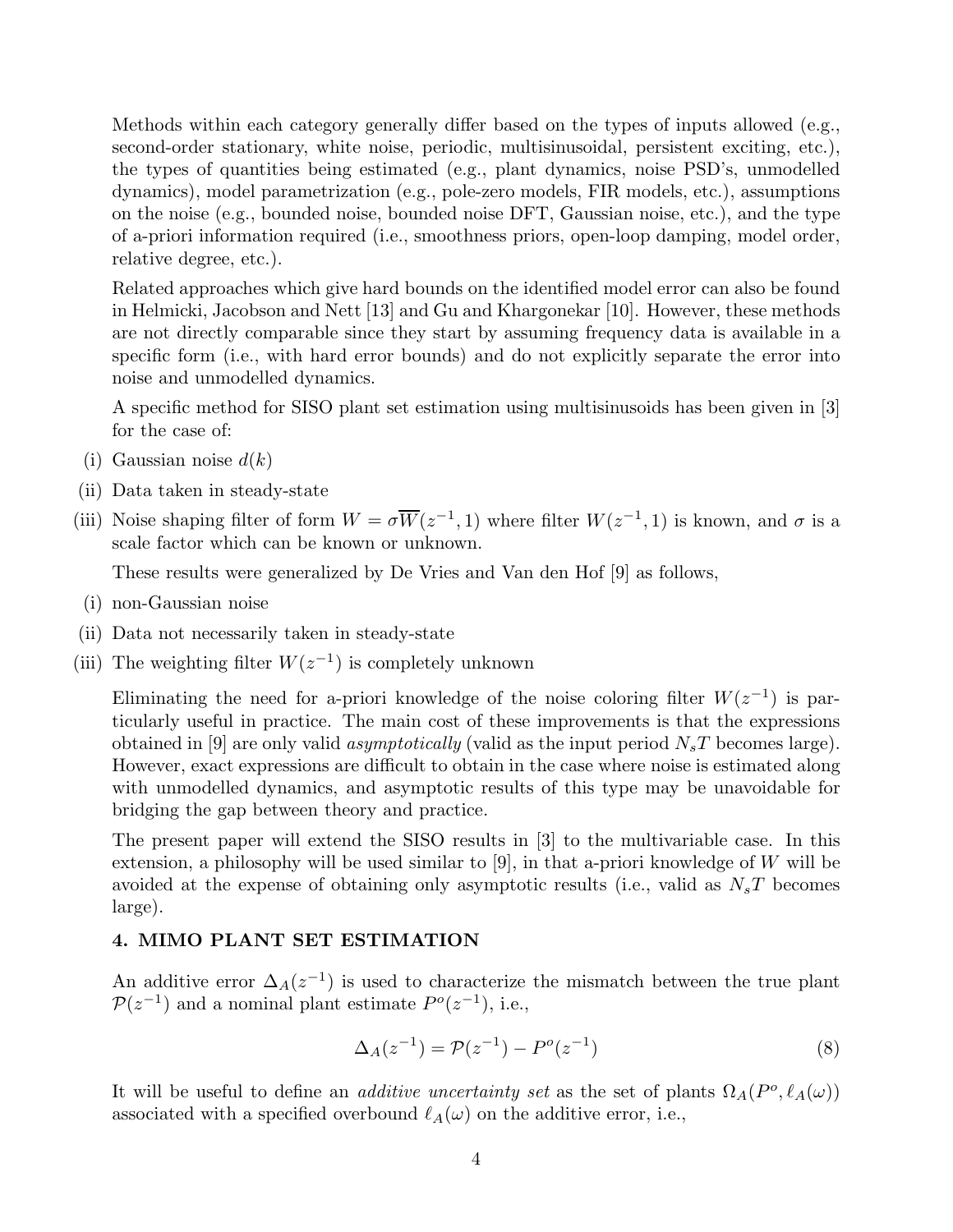Methods within each category generally differ based on the types of inputs allowed (e.g., second-order stationary, white noise, periodic, multisinusoidal, persistent exciting, etc.), the types of quantities being estimated (e.g., plant dynamics, noise PSD's, unmodelled dynamics), model parametrization (e.g., pole-zero models, FIR models, etc.), assumptions on the noise (e.g., bounded noise, bounded noise DFT, Gaussian noise, etc.), and the type of a-priori information required (i.e., smoothness priors, open-loop damping, model order, relative degree, etc.).

Related approaches which give hard bounds on the identified model error can also be found in Helmicki, Jacobson and Nett [13] and Gu and Khargonekar [10]. However, these methods are not directly comparable since they start by assuming frequency data is available in a specific form (i.e., with hard error bounds) and do not explicitly separate the error into noise and unmodelled dynamics.

A specific method for SISO plant set estimation using multisinusoids has been given in [3] for the case of:

- (i) Gaussian noise  $d(k)$
- (ii) Data taken in steady-state
- (iii) Noise shaping filter of form  $W = \sigma \overline{W}(z^{-1}, 1)$  where filter  $W(z^{-1}, 1)$  is known, and  $\sigma$  is a scale factor which can be known or unknown.

These results were generalized by De Vries and Van den Hof [9] as follows,

- (i) non-Gaussian noise
- (ii) Data not necessarily taken in steady-state
- (iii) The weighting filter  $W(z^{-1})$  is completely unknown

Eliminating the need for a-priori knowledge of the noise coloring filter  $W(z^{-1})$  is particularly useful in practice. The main cost of these improvements is that the expressions obtained in [9] are only valid *asymptotically* (valid as the input period  $N_sT$  becomes large). However, exact expressions are difficult to obtain in the case where noise is estimated along with unmodelled dynamics, and asymptotic results of this type may be unavoidable for bridging the gap between theory and practice.

The present paper will extend the SISO results in [3] to the multivariable case. In this extension, a philosophy will be used similar to  $[9]$ , in that a-priori knowledge of W will be avoided at the expense of obtaining only asymptotic results (i.e., valid as  $N_sT$  becomes large).

## **4. MIMO PLANT SET ESTIMATION**

An additive error  $\Delta_A(z^{-1})$  is used to characterize the mismatch between the true plant  $P(z^{-1})$  and a nominal plant estimate  $P<sup>o</sup>(z^{-1})$ , i.e.,

$$
\Delta_A(z^{-1}) = \mathcal{P}(z^{-1}) - P^o(z^{-1})
$$
\n(8)

It will be useful to define an *additive uncertainty set* as the set of plants  $\Omega_A(P^o, \ell_A(\omega))$ associated with a specified overbound  $\ell_A(\omega)$  on the additive error, i.e.,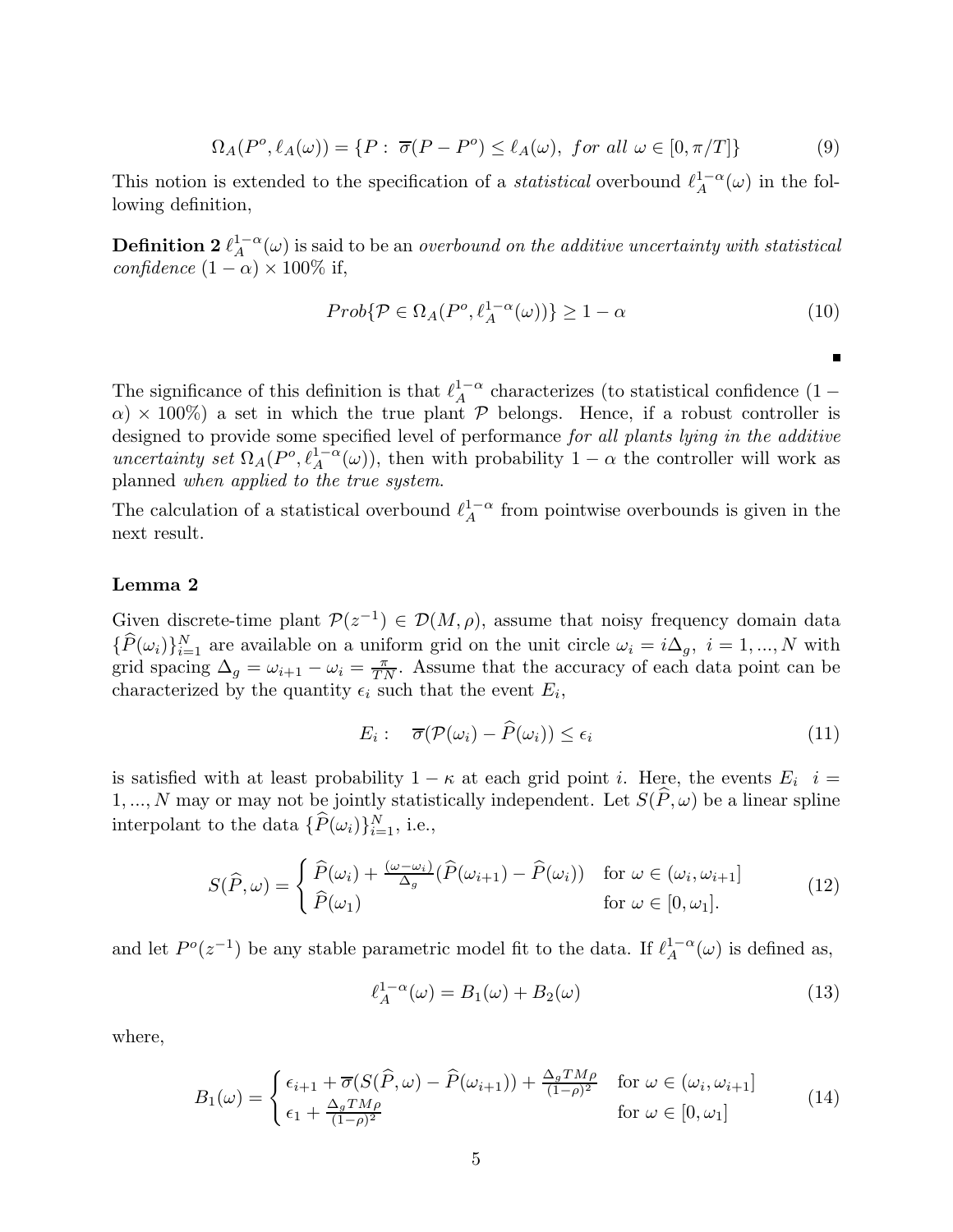$$
\Omega_A(P^o, \ell_A(\omega)) = \{ P : \overline{\sigma}(P - P^o) \le \ell_A(\omega), \text{ for all } \omega \in [0, \pi/T] \} \tag{9}
$$

This notion is extended to the specification of a *statistical* overbound  $\ell_A^{1-\alpha}(\omega)$  in the fol-<br>lowing definition lowing definition,

**Definition 2**  $\ell_A^{1-\alpha}(\omega)$  is said to be an *overbound on the additive uncertainty with statistical*<br>confidence  $(1-\alpha) \times 100\%$  if *confidence*  $(1 - \alpha) \times 100\%$  if,

$$
Prob\{\mathcal{P} \in \Omega_A(P^o, \ell_A^{1-\alpha}(\omega))\} \ge 1-\alpha
$$
\n(10)

Ė

The significance of this definition is that  $\ell_A^{1-\alpha}$  characterizes (to statistical confidence  $(1-\alpha) \times 100\%$ ) a set in which the true plant  $\mathcal{D}$  belongs. Hence if a robust controller is  $\alpha$ ) × 100%) a set in which the true plant P belongs. Hence, if a robust controller is designed to provide some specified level of performance *for all plants lying in the additive uncertainty set*  $\Omega_A(P^o, \ell_A^{1-\alpha}(\omega))$ , then with probability  $1-\alpha$  the controller will work as planned when applied to the true system planned *when applied to the true system*.

The calculation of a statistical overbound  $\ell_A^{1-\alpha}$  from pointwise overbounds is given in the next result next result.

# **Lemma 2**

Given discrete-time plant  $\mathcal{P}(z^{-1}) \in \mathcal{D}(M,\rho)$ , assume that noisy frequency domain data  ${P(\omega_i)}_{i=1}^N$  are available on a uniform grid on the unit circle  $\omega_i = i\Delta_g$ ,  $i = 1, ..., N$  with grid spacing  $\Delta_g = \omega_{i+1} - \omega_i = \frac{\pi}{TN}$ . Assume that the accuracy of each data point can be characterized by the quantity  $\epsilon$ , such that the event  $F$ . characterized by the quantity  $\epsilon_i$  such that the event  $E_i$ ,

$$
E_i: \quad \overline{\sigma}(\mathcal{P}(\omega_i) - \widehat{P}(\omega_i)) \le \epsilon_i \tag{11}
$$

is satisfied with at least probability  $1 - \kappa$  at each grid point *i*. Here, the events  $E_i$  *i* = 1, ..., N may or may not be jointly statistically independent. Let  $S(\widehat{P}, \omega)$  be a linear spline interpolant to the data  $\{P(\omega_i)\}_{i=1}^N$ , i.e.,

$$
S(\widehat{P}, \omega) = \begin{cases} \widehat{P}(\omega_i) + \frac{(\omega - \omega_i)}{\Delta_g} (\widehat{P}(\omega_{i+1}) - \widehat{P}(\omega_i)) & \text{for } \omega \in (\omega_i, \omega_{i+1}] \\ \widehat{P}(\omega_1) & \text{for } \omega \in [0, \omega_1]. \end{cases}
$$
(12)

and let  $P^o(z^{-1})$  be any stable parametric model fit to the data. If  $\ell_A^{1-\alpha}(\omega)$  is defined as,

$$
\ell_A^{1-\alpha}(\omega) = B_1(\omega) + B_2(\omega) \tag{13}
$$

where,

$$
B_1(\omega) = \begin{cases} \epsilon_{i+1} + \overline{\sigma}(S(\widehat{P}, \omega) - \widehat{P}(\omega_{i+1})) + \frac{\Delta_g T M \rho}{(1 - \rho)^2} & \text{for } \omega \in (\omega_i, \omega_{i+1}] \\ \epsilon_1 + \frac{\Delta_g T M \rho}{(1 - \rho)^2} & \text{for } \omega \in [0, \omega_1] \end{cases}
$$
(14)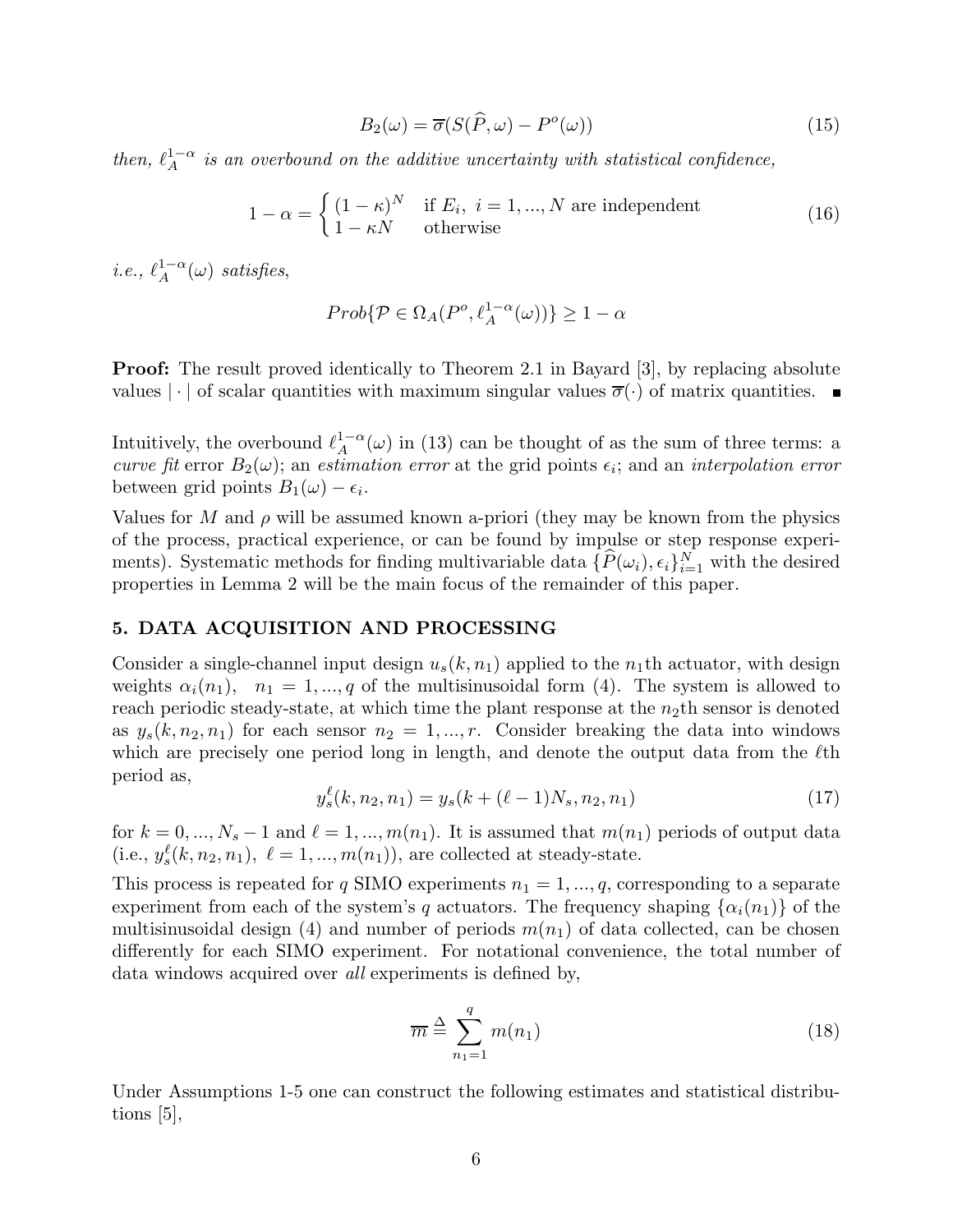$$
B_2(\omega) = \overline{\sigma}(S(\widehat{P}, \omega) - P^o(\omega))
$$
\n(15)

*then,*  $\ell_A^{1-\alpha}$  *is an overbound on the additive uncertainty with statistical confidence,* 

$$
1 - \alpha = \begin{cases} (1 - \kappa)^N & \text{if } E_i, \ i = 1, ..., N \text{ are independent} \\ 1 - \kappa N & \text{otherwise} \end{cases}
$$
(16)

 $i.e., \ell_A^{1-\alpha}(\omega)$  *satisfies*,

$$
Prob\{\mathcal{P} \in \Omega_A(P^o, \ell_A^{1-\alpha}(\omega))\} \ge 1-\alpha
$$

**Proof:** The result proved identically to Theorem 2.1 in Bayard [3], by replacing absolute values  $|\cdot|$  of scalar quantities with maximum singular values  $\overline{\sigma}(\cdot)$  of matrix quantities.

Intuitively, the overbound  $\ell_A^{1-\alpha}(\omega)$  in (13) can be thought of as the sum of three terms: a<br>curve fit error  $B_2(\omega)$ ; an estimation error at the grid points  $\epsilon \omega$  and an interpolation error *curve fit* error  $B_2(\omega)$ ; an *estimation error* at the grid points  $\epsilon_i$ ; and an *interpolation error* between grid points  $B_1(\omega) - \epsilon_i$ .

Values for M and  $\rho$  will be assumed known a-priori (they may be known from the physics of the process, practical experience, or can be found by impulse or step response experiments). Systematic methods for finding multivariable data  $\{P(\omega_i), \epsilon_i\}_{i=1}^N$  with the desired<br>proporties in Lemma 2 will be the main focus of the remainder of this paper. properties in Lemma 2 will be the main focus of the remainder of this paper.

### **5. DATA ACQUISITION AND PROCESSING**

Consider a single-channel input design  $u_s(k, n_1)$  applied to the  $n_1$ th actuator, with design weights  $\alpha_i(n_1), \quad n_1 = 1, \dots, q$  of the multisinusoidal form (4). The system is allowed to reach periodic steady-state, at which time the plant response at the  $n_2$ <sup>th</sup> sensor is denoted as  $y_s(k, n_2, n_1)$  for each sensor  $n_2 = 1, ..., r$ . Consider breaking the data into windows which are precisely one period long in length, and denote the output data from the  $\ell$ th period as,

$$
y_s^{\ell}(k, n_2, n_1) = y_s(k + (\ell - 1)N_s, n_2, n_1)
$$
\n(17)

for  $k = 0, ..., N_s - 1$  and  $\ell = 1, ..., m(n_1)$ . It is assumed that  $m(n_1)$  periods of output data (i.e.,  $y_s^{\ell}(k, n_2, n_1)$ ,  $\ell = 1, ..., m(n_1)$ ), are collected at steady-state.

This process is repeated for q SIMO experiments  $n_1 = 1, ..., q$ , corresponding to a separate experiment from each of the system's q actuators. The frequency shaping  $\{\alpha_i(n_1)\}\$  of the multisinusoidal design (4) and number of periods  $m(n_1)$  of data collected, can be chosen differently for each SIMO experiment. For notational convenience, the total number of data windows acquired over *all* experiments is defined by,

$$
\overline{m} \stackrel{\Delta}{=} \sum_{n_1=1}^{q} m(n_1) \tag{18}
$$

Under Assumptions 1-5 one can construct the following estimates and statistical distributions [5],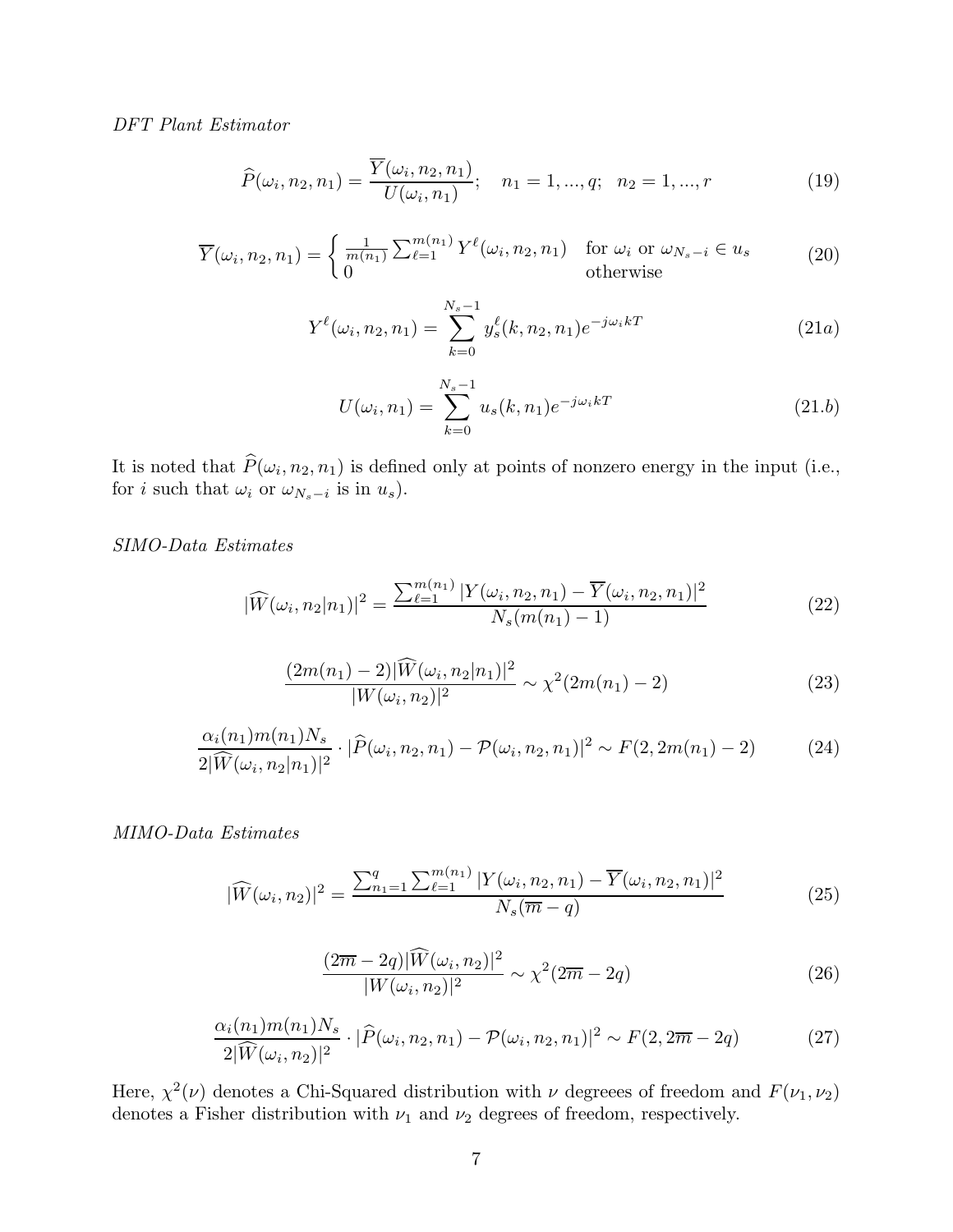*DFT Plant Estimator*

$$
\widehat{P}(\omega_i, n_2, n_1) = \frac{\overline{Y}(\omega_i, n_2, n_1)}{U(\omega_i, n_1)}; \quad n_1 = 1, ..., q; \quad n_2 = 1, ..., r
$$
\n(19)

$$
\overline{Y}(\omega_i, n_2, n_1) = \begin{cases} \frac{1}{m(n_1)} \sum_{\ell=1}^{m(n_1)} Y^{\ell}(\omega_i, n_2, n_1) & \text{for } \omega_i \text{ or } \omega_{N_s - i} \in u_s \\ 0 & \text{otherwise} \end{cases}
$$
 (20)

$$
Y^{\ell}(\omega_i, n_2, n_1) = \sum_{k=0}^{N_s - 1} y_s^{\ell}(k, n_2, n_1) e^{-j\omega_i kT}
$$
 (21a)

$$
U(\omega_i, n_1) = \sum_{k=0}^{N_s - 1} u_s(k, n_1) e^{-j\omega_i kT}
$$
 (21.6)

It is noted that  $P(\omega_i, n_2, n_1)$  is defined only at points of nonzero energy in the input (i.e.,  $f_{\text{on }i \text{ such that } t \in \mathbb{R}^n}$  is in  $\omega$ ) for *i* such that  $\omega_i$  or  $\omega_{N_s-i}$  is in  $u_s$ ).

*SIMO-Data Estimates*

$$
|\widehat{W}(\omega_i, n_2|n_1)|^2 = \frac{\sum_{\ell=1}^{m(n_1)} |Y(\omega_i, n_2, n_1) - \overline{Y}(\omega_i, n_2, n_1)|^2}{N_s(m(n_1) - 1)}
$$
(22)

$$
\frac{(2m(n_1)-2)|\widehat{W}(\omega_i, n_2|n_1)|^2}{|W(\omega_i, n_2)|^2} \sim \chi^2(2m(n_1)-2)
$$
\n(23)

$$
\frac{\alpha_i(n_1)m(n_1)N_s}{2|\widehat{W}(\omega_i, n_2|n_1)|^2} \cdot |\widehat{P}(\omega_i, n_2, n_1) - \mathcal{P}(\omega_i, n_2, n_1)|^2 \sim F(2, 2m(n_1) - 2)
$$
(24)

*MIMO-Data Estimates*

$$
|\widehat{W}(\omega_i, n_2)|^2 = \frac{\sum_{n_1=1}^q \sum_{\ell=1}^{m(n_1)} |Y(\omega_i, n_2, n_1) - \overline{Y}(\omega_i, n_2, n_1)|^2}{N_s(\overline{m} - q)} \tag{25}
$$

$$
\frac{(2\overline{m} - 2q)|\widehat{W}(\omega_i, n_2)|^2}{|W(\omega_i, n_2)|^2} \sim \chi^2(2\overline{m} - 2q)
$$
\n(26)

$$
\frac{\alpha_i(n_1)m(n_1)N_s}{2|\widehat{W}(\omega_i, n_2)|^2} \cdot |\widehat{P}(\omega_i, n_2, n_1) - \mathcal{P}(\omega_i, n_2, n_1)|^2 \sim F(2, 2\overline{m} - 2q) \tag{27}
$$

Here,  $\chi^2(\nu)$  denotes a Chi-Squared distribution with  $\nu$  degreees of freedom and  $F(\nu_1, \nu_2)$ denotes a Fisher distribution with  $\nu_1$  and  $\nu_2$  degrees of freedom, respectively.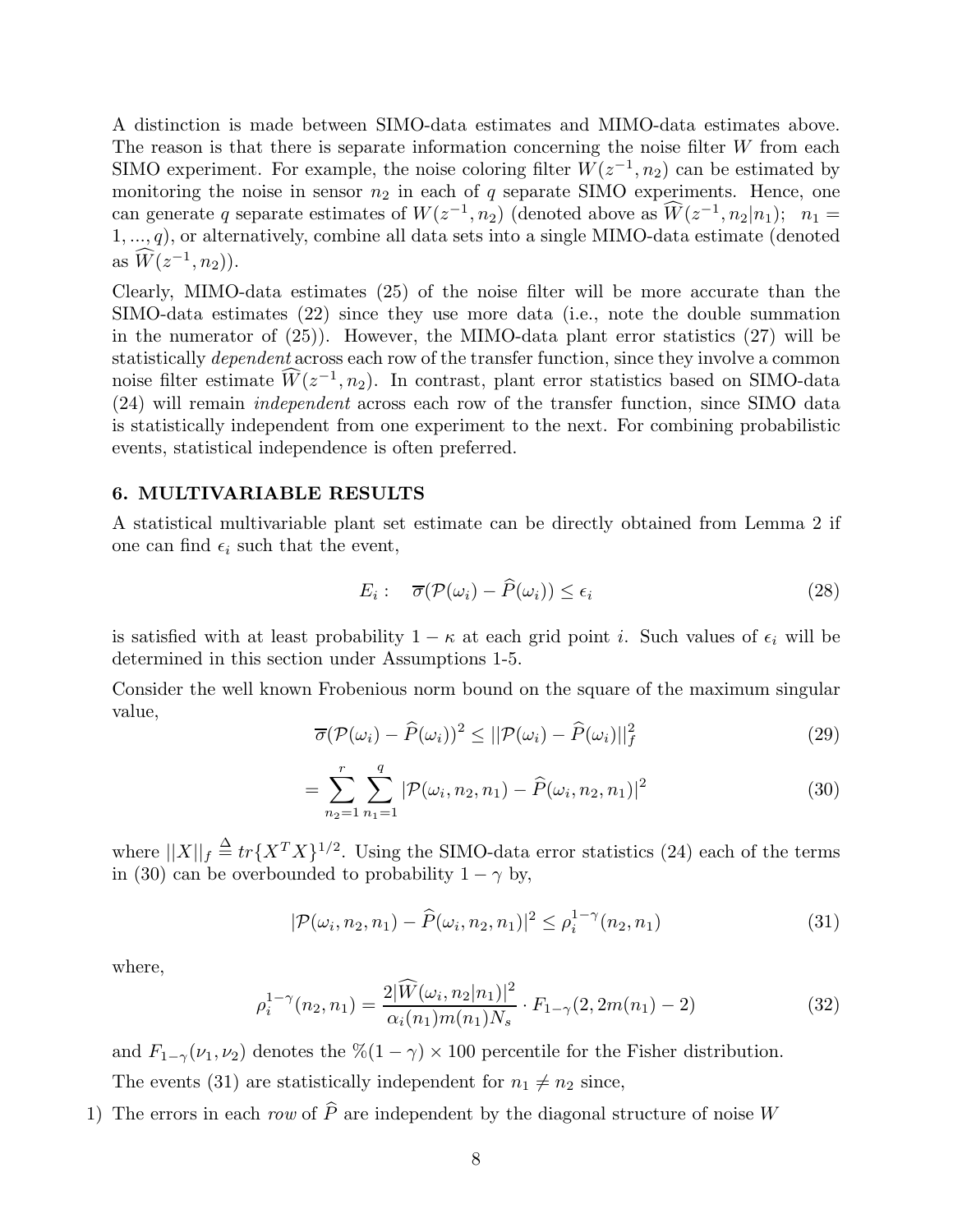A distinction is made between SIMO-data estimates and MIMO-data estimates above. The reason is that there is separate information concerning the noise filter W from each SIMO experiment. For example, the noise coloring filter  $W(z^{-1}, n_2)$  can be estimated by monitoring the noise in sensor  $n_2$  in each of q separate SIMO experiments. Hence, one can generate q separate estimates of  $W(z^{-1}, n_2)$  (denoted above as  $\widetilde{W}(z^{-1}, n_2|n_1); n_1 =$  $1, \ldots, q$ ), or alternatively, combine all data sets into a single MIMO-data estimate (denoted as  $W(z^{-1}, n_2)$ ).

Clearly, MIMO-data estimates (25) of the noise filter will be more accurate than the SIMO-data estimates (22) since they use more data (i.e., note the double summation in the numerator of (25)). However, the MIMO-data plant error statistics (27) will be statistically *dependent* across each row of the transfer function, since they involve a common noise filter estimate  $\widehat{W}(z^{-1}, n_2)$ . In contrast, plant error statistics based on SIMO-data (24) will remain *independent* across each row of the transfer function, since SIMO data is statistically independent from one experiment to the next. For combining probabilistic events, statistical independence is often preferred.

#### **6. MULTIVARIABLE RESULTS**

A statistical multivariable plant set estimate can be directly obtained from Lemma 2 if one can find  $\epsilon_i$  such that the event,

$$
E_i: \quad \overline{\sigma}(\mathcal{P}(\omega_i) - \widehat{P}(\omega_i)) \le \epsilon_i \tag{28}
$$

is satisfied with at least probability  $1 - \kappa$  at each grid point *i*. Such values of  $\epsilon_i$  will be determined in this section under Assumptions 1-5.

Consider the well known Frobenious norm bound on the square of the maximum singular value,

$$
\overline{\sigma}(\mathcal{P}(\omega_i) - \widehat{P}(\omega_i))^2 \le ||\mathcal{P}(\omega_i) - \widehat{P}(\omega_i)||_f^2
$$
\n(29)

$$
= \sum_{n_2=1}^r \sum_{n_1=1}^q |\mathcal{P}(\omega_i, n_2, n_1) - \widehat{P}(\omega_i, n_2, n_1)|^2 \tag{30}
$$

where  $||X||_f \stackrel{\Delta}{=} tr\{X^T X\}^{1/2}$ . Using the SIMO-data error statistics (24) each of the terms  $(20)$  can be expressed to probability 1, why in (30) can be overbounded to probability  $1 - \gamma$  by,

$$
|\mathcal{P}(\omega_i, n_2, n_1) - \widehat{P}(\omega_i, n_2, n_1)|^2 \le \rho_i^{1-\gamma}(n_2, n_1)
$$
\n(31)

where,

$$
\rho_i^{1-\gamma}(n_2, n_1) = \frac{2|\widehat{W}(\omega_i, n_2|n_1)|^2}{\alpha_i(n_1)m(n_1)N_s} \cdot F_{1-\gamma}(2, 2m(n_1) - 2)
$$
\n(32)

and  $F_{1-\gamma}(\nu_1, \nu_2)$  denotes the  $\frac{\%(1-\gamma)}{\times}100$  percentile for the Fisher distribution. The events (31) are statistically independent for  $n_1 \neq n_2$  since,

1) The errors in each *row* of  $\hat{P}$  are independent by the diagonal structure of noise W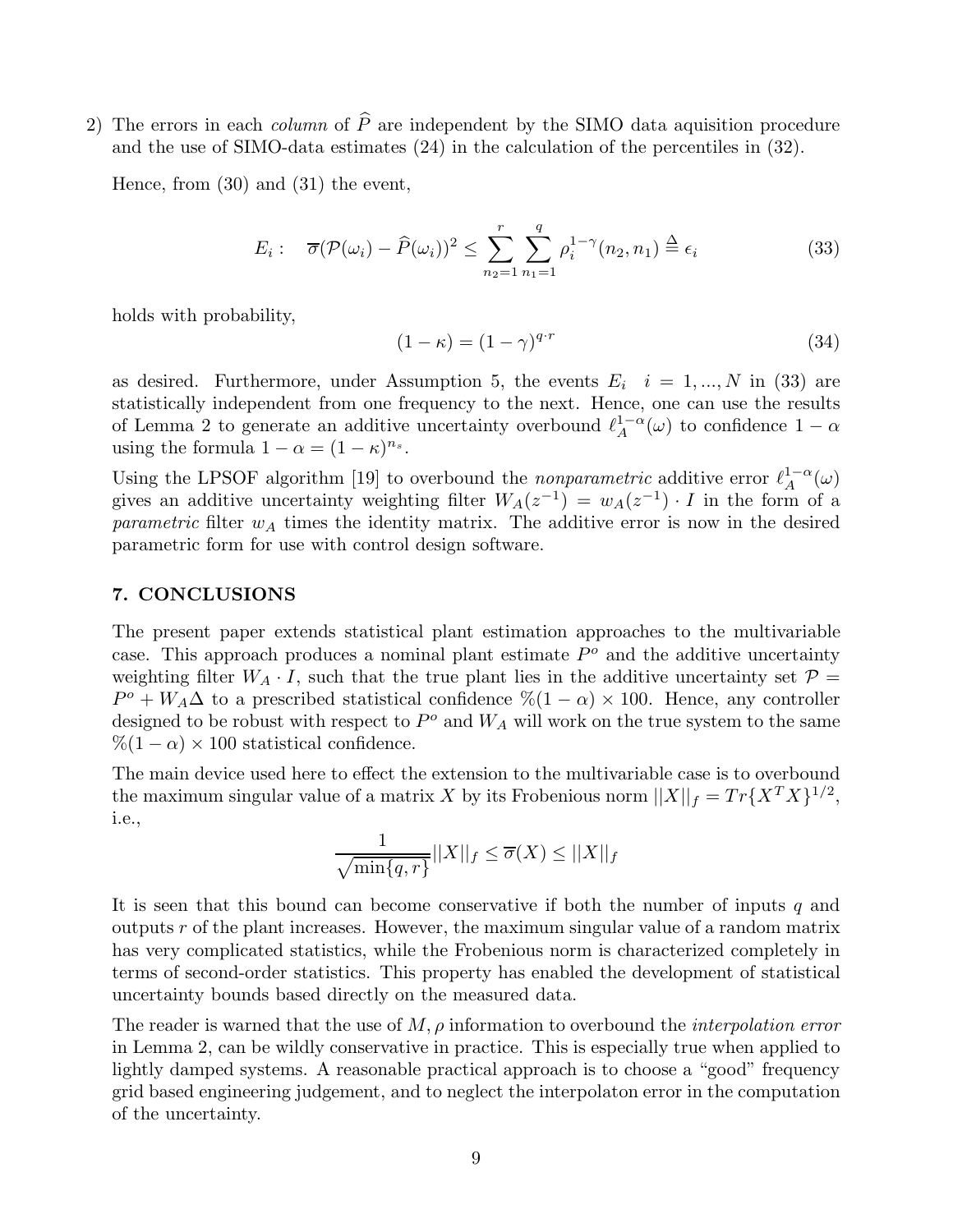2) The errors in each *column* of  $\hat{P}$  are independent by the SIMO data aquisition procedure and the use of SIMO-data estimates (24) in the calculation of the percentiles in (32).

Hence, from (30) and (31) the event,

$$
E_i: \quad \overline{\sigma}(\mathcal{P}(\omega_i) - \widehat{P}(\omega_i))^2 \le \sum_{n_2=1}^r \sum_{n_1=1}^q \rho_i^{1-\gamma}(n_2, n_1) \stackrel{\Delta}{=} \epsilon_i \tag{33}
$$

holds with probability,

$$
(1 - \kappa) = (1 - \gamma)^{q \cdot r} \tag{34}
$$

as desired. Furthermore, under Assumption 5, the events  $E_i$   $i = 1, ..., N$  in (33) are statistically independent from one frequency to the next. Hence, one can use the results of Lemma 2 to generate an additive uncertainty overbound  $\ell_A^{1-\alpha}(\omega)$  to confidence  $1-\alpha$ <br>using the formula  $1-\alpha - (1-\kappa)^{n_s}$ using the formula  $1 - \alpha = (1 - \kappa)^{n_s}$ .

Using the LPSOF algorithm [19] to overbound the *nonparametric* additive error  $\ell_A^{1-\alpha}(\omega)$ <br>gives an additive uncertainty weighting filter  $W_A(z^{-1}) = w_A(z^{-1})$ . *L* in the form of a gives an additive uncertainty weighting filter  $W_A(z^{-1}) = w_A(z^{-1}) \cdot I$  in the form of a *parametric* filter  $w_A$  times the identity matrix. The additive error is now in the desired parametric form for use with control design software.

# **7. CONCLUSIONS**

The present paper extends statistical plant estimation approaches to the multivariable case. This approach produces a nominal plant estimate  $P<sup>o</sup>$  and the additive uncertainty weighting filter  $W_A \cdot I$ , such that the true plant lies in the additive uncertainty set  $\mathcal{P} =$  $P^o + W_A \Delta$  to a prescribed statistical confidence  $\% (1 - \alpha) \times 100$ . Hence, any controller designed to be robust with respect to  $P^o$  and  $W_A$  will work on the true system to the same  $\%$ (1 –  $\alpha$ ) × 100 statistical confidence.

The main device used here to effect the extension to the multivariable case is to overbound the maximum singular value of a matrix X by its Frobenious norm  $||X||_f = Tr{X^T X}^{1/2}$ , i.e.,

$$
\frac{1}{\sqrt{\min\{q,r\}}}||X||_f \le \overline{\sigma}(X) \le ||X||_f
$$

It is seen that this bound can become conservative if both the number of inputs  $q$  and outputs  $r$  of the plant increases. However, the maximum singular value of a random matrix has very complicated statistics, while the Frobenious norm is characterized completely in terms of second-order statistics. This property has enabled the development of statistical uncertainty bounds based directly on the measured data.

The reader is warned that the use of M, ρ information to overbound the *interpolation error* in Lemma 2, can be wildly conservative in practice. This is especially true when applied to lightly damped systems. A reasonable practical approach is to choose a "good" frequency grid based engineering judgement, and to neglect the interpolaton error in the computation of the uncertainty.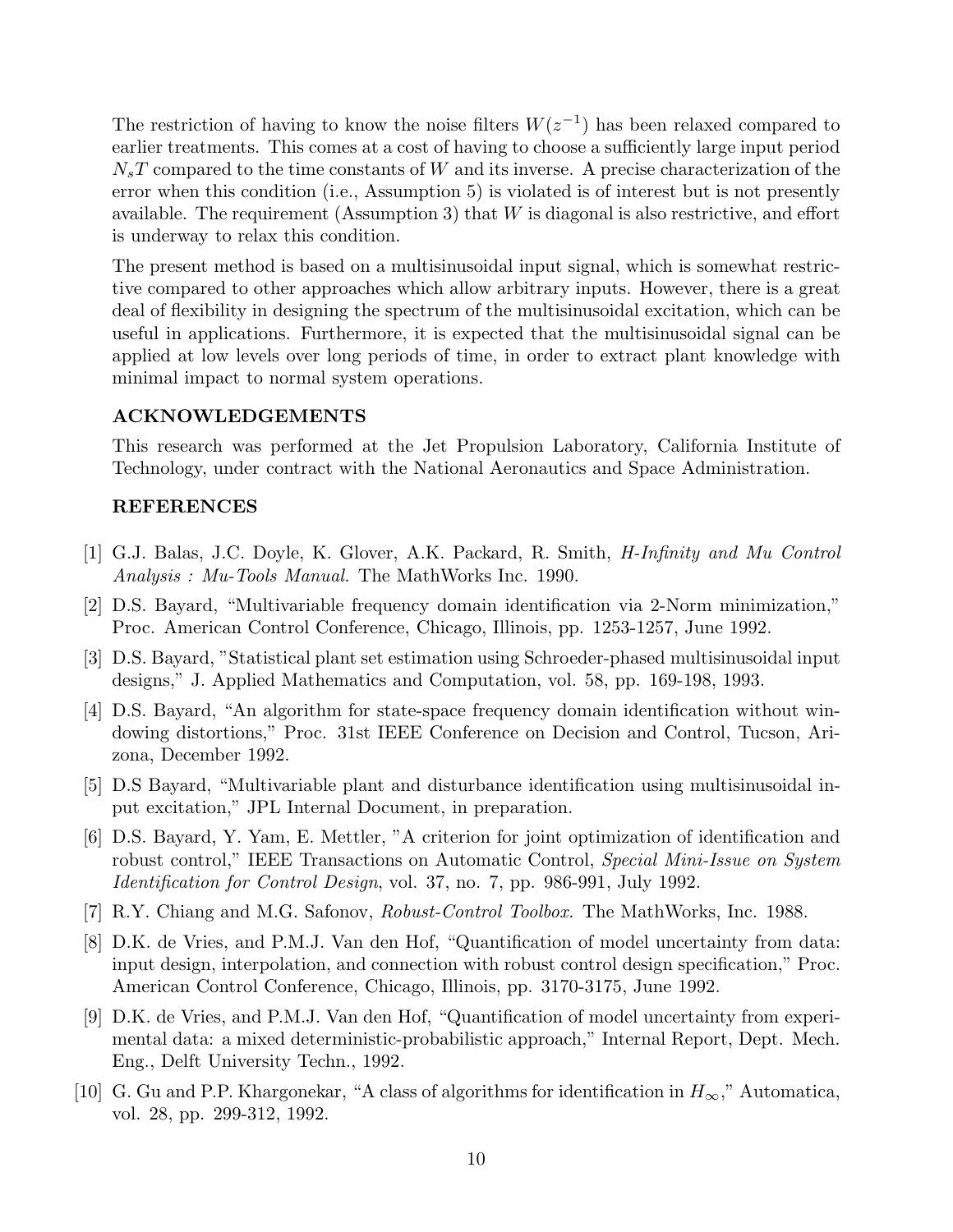The restriction of having to know the noise filters  $W(z^{-1})$  has been relaxed compared to earlier treatments. This comes at a cost of having to choose a sufficiently large input period  $N_sT$  compared to the time constants of W and its inverse. A precise characterization of the error when this condition (i.e., Assumption 5) is violated is of interest but is not presently available. The requirement (Assumption 3) that  $W$  is diagonal is also restrictive, and effort is underway to relax this condition.

The present method is based on a multisinusoidal input signal, which is somewhat restrictive compared to other approaches which allow arbitrary inputs. However, there is a great deal of flexibility in designing the spectrum of the multisinusoidal excitation, which can be useful in applications. Furthermore, it is expected that the multisinusoidal signal can be applied at low levels over long periods of time, in order to extract plant knowledge with minimal impact to normal system operations.

### **ACKNOWLEDGEMENTS**

This research was performed at the Jet Propulsion Laboratory, California Institute of Technology, under contract with the National Aeronautics and Space Administration.

# **REFERENCES**

- [1] G.J. Balas, J.C. Doyle, K. Glover, A.K. Packard, R. Smith, *H-Infinity and Mu Control Analysis : Mu-Tools Manual.* The MathWorks Inc. 1990.
- [2] D.S. Bayard, "Multivariable frequency domain identification via 2-Norm minimization," Proc. American Control Conference, Chicago, Illinois, pp. 1253-1257, June 1992.
- [3] D.S. Bayard, "Statistical plant set estimation using Schroeder-phased multisinusoidal input designs," J. Applied Mathematics and Computation, vol. 58, pp. 169-198, 1993.
- [4] D.S. Bayard, "An algorithm for state-space frequency domain identification without windowing distortions," Proc. 31st IEEE Conference on Decision and Control, Tucson, Arizona, December 1992.
- [5] D.S Bayard, "Multivariable plant and disturbance identification using multisinusoidal input excitation," JPL Internal Document, in preparation.
- [6] D.S. Bayard, Y. Yam, E. Mettler, "A criterion for joint optimization of identification and robust control," IEEE Transactions on Automatic Control, *Special Mini-Issue on System Identification for Control Design*, vol. 37, no. 7, pp. 986-991, July 1992.
- [7] R.Y. Chiang and M.G. Safonov, *Robust-Control Toolbox.* The MathWorks, Inc. 1988.
- [8] D.K. de Vries, and P.M.J. Van den Hof, "Quantification of model uncertainty from data: input design, interpolation, and connection with robust control design specification," Proc. American Control Conference, Chicago, Illinois, pp. 3170-3175, June 1992.
- [9] D.K. de Vries, and P.M.J. Van den Hof, "Quantification of model uncertainty from experimental data: a mixed deterministic-probabilistic approach," Internal Report, Dept. Mech. Eng., Delft University Techn., 1992.
- [10] G. Gu and P.P. Khargonekar, "A class of algorithms for identification in  $H_{\infty}$ ," Automatica, vol. 28, pp. 299-312, 1992.